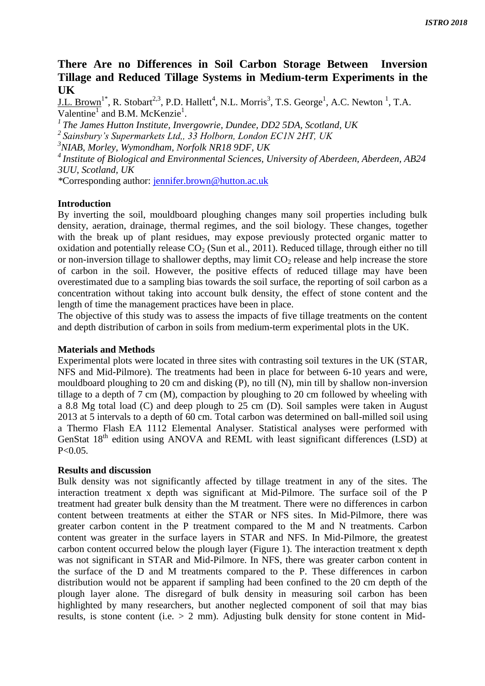# **There Are no Differences in Soil Carbon Storage Between Inversion Tillage and Reduced Tillage Systems in Medium-term Experiments in the UK**

<u>J.L. Brown</u><sup>1\*</sup>, R. Stobart<sup>2,3</sup>, P.D. Hallett<sup>4</sup>, N.L. Morris<sup>3</sup>, T.S. George<sup>1</sup>, A.C. Newton<sup>1</sup>, T.A. Valentine<sup>1</sup> and B.M. McKenzie<sup>1</sup>.

*<sup>1</sup>The James Hutton Institute, Invergowrie, Dundee, DD2 5DA, Scotland, UK* 

*<sup>2</sup>Sainsbury's Supermarkets Ltd,, 33 Holborn, London EC1N 2HT, UK* 

*<sup>3</sup>NIAB, Morley, Wymondham, Norfolk NR18 9DF, UK*

*<sup>4</sup>Institute of Biological and Environmental Sciences, University of Aberdeen, Aberdeen, AB24 3UU, Scotland, UK*

*\**Corresponding author: [jennifer.brown@hutton.ac.uk](mailto:jennifer.brown@hutton.ac.uk)

# **Introduction**

By inverting the soil, mouldboard ploughing changes many soil properties including bulk density, aeration, drainage, thermal regimes, and the soil biology. These changes, together with the break up of plant residues, may expose previously protected organic matter to oxidation and potentially release  $CO<sub>2</sub>$  (Sun et al., 2011). Reduced tillage, through either no till or non-inversion tillage to shallower depths, may limit  $CO<sub>2</sub>$  release and help increase the store of carbon in the soil. However, the positive effects of reduced tillage may have been overestimated due to a sampling bias towards the soil surface, the reporting of soil carbon as a concentration without taking into account bulk density, the effect of stone content and the length of time the management practices have been in place.

The objective of this study was to assess the impacts of five tillage treatments on the content and depth distribution of carbon in soils from medium-term experimental plots in the UK.

### **Materials and Methods**

Experimental plots were located in three sites with contrasting soil textures in the UK (STAR, NFS and Mid-Pilmore). The treatments had been in place for between 6-10 years and were, mouldboard ploughing to 20 cm and disking (P), no till (N), min till by shallow non-inversion tillage to a depth of 7 cm (M), compaction by ploughing to 20 cm followed by wheeling with a 8.8 Mg total load (C) and deep plough to 25 cm (D). Soil samples were taken in August 2013 at 5 intervals to a depth of 60 cm. Total carbon was determined on ball-milled soil using a Thermo Flash EA 1112 Elemental Analyser. Statistical analyses were performed with GenStat 18<sup>th</sup> edition using ANOVA and REML with least significant differences (LSD) at  $P < 0.05$ .

# **Results and discussion**

Bulk density was not significantly affected by tillage treatment in any of the sites. The interaction treatment x depth was significant at Mid-Pilmore. The surface soil of the P treatment had greater bulk density than the M treatment. There were no differences in carbon content between treatments at either the STAR or NFS sites. In Mid-Pilmore, there was greater carbon content in the P treatment compared to the M and N treatments. Carbon content was greater in the surface layers in STAR and NFS. In Mid-Pilmore, the greatest carbon content occurred below the plough layer (Figure 1). The interaction treatment x depth was not significant in STAR and Mid-Pilmore. In NFS, there was greater carbon content in the surface of the D and M treatments compared to the P. These differences in carbon distribution would not be apparent if sampling had been confined to the 20 cm depth of the plough layer alone. The disregard of bulk density in measuring soil carbon has been highlighted by many researchers, but another neglected component of soil that may bias results, is stone content (i.e.  $> 2$  mm). Adjusting bulk density for stone content in Mid